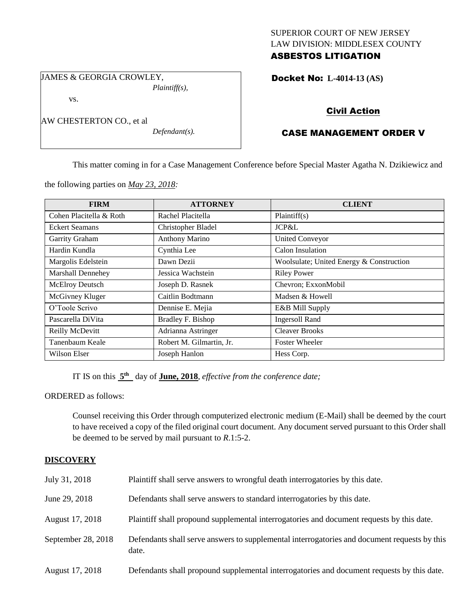## SUPERIOR COURT OF NEW JERSEY LAW DIVISION: MIDDLESEX COUNTY ASBESTOS LITIGATION

Docket No: **L-4014-13 (AS)** 

JAMES & GEORGIA CROWLEY, *Plaintiff(s),*

AW CHESTERTON CO., et al

vs.

*Defendant(s).*

Civil Action

# CASE MANAGEMENT ORDER V

This matter coming in for a Case Management Conference before Special Master Agatha N. Dzikiewicz and

the following parties on *May 23, 2018:*

| <b>FIRM</b>              | <b>ATTORNEY</b>          | <b>CLIENT</b>                            |
|--------------------------|--------------------------|------------------------------------------|
| Cohen Placitella & Roth  | Rachel Placitella        | Plaintiff(s)                             |
| <b>Eckert Seamans</b>    | Christopher Bladel       | JCP&L                                    |
| Garrity Graham           | <b>Anthony Marino</b>    | <b>United Conveyor</b>                   |
| Hardin Kundla            | Cynthia Lee              | Calon Insulation                         |
| Margolis Edelstein       | Dawn Dezii               | Woolsulate; United Energy & Construction |
| <b>Marshall Dennehey</b> | Jessica Wachstein        | <b>Riley Power</b>                       |
| McElroy Deutsch          | Joseph D. Rasnek         | Chevron; ExxonMobil                      |
| McGivney Kluger          | Caitlin Bodtmann         | Madsen & Howell                          |
| O'Toole Scrivo           | Dennise E. Mejia         | E&B Mill Supply                          |
| Pascarella DiVita        | Bradley F. Bishop        | <b>Ingersoll Rand</b>                    |
| Reilly McDevitt          | Adrianna Astringer       | <b>Cleaver Brooks</b>                    |
| Tanenbaum Keale          | Robert M. Gilmartin, Jr. | <b>Foster Wheeler</b>                    |
| Wilson Elser             | Joseph Hanlon            | Hess Corp.                               |

IT IS on this  $5<sup>th</sup>$  day of **June, 2018**, *effective from the conference date*;

ORDERED as follows:

Counsel receiving this Order through computerized electronic medium (E-Mail) shall be deemed by the court to have received a copy of the filed original court document. Any document served pursuant to this Order shall be deemed to be served by mail pursuant to *R*.1:5-2.

## **DISCOVERY**

| July 31, 2018      | Plaintiff shall serve answers to wrongful death interrogatories by this date.                         |
|--------------------|-------------------------------------------------------------------------------------------------------|
| June 29, 2018      | Defendants shall serve answers to standard interrogatories by this date.                              |
| August 17, 2018    | Plaintiff shall propound supplemental interrogatories and document requests by this date.             |
| September 28, 2018 | Defendants shall serve answers to supplemental interrogatories and document requests by this<br>date. |
| August 17, 2018    | Defendants shall propound supplemental interrogatories and document requests by this date.            |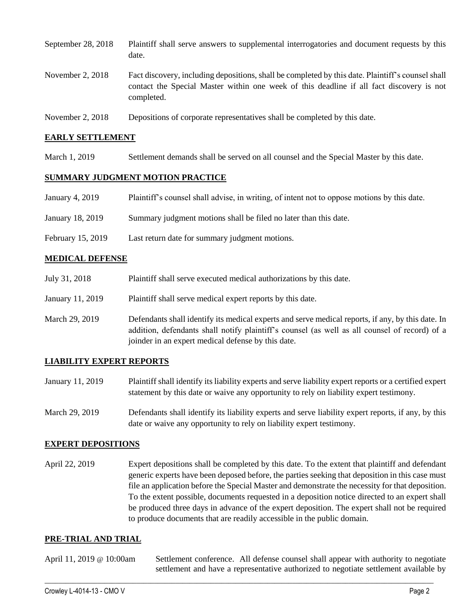| September 28, 2018 | Plaintiff shall serve answers to supplemental interrogatories and document requests by this<br>date.                                                                                                        |
|--------------------|-------------------------------------------------------------------------------------------------------------------------------------------------------------------------------------------------------------|
| November 2, $2018$ | Fact discovery, including depositions, shall be completed by this date. Plaintiff's counsel shall<br>contact the Special Master within one week of this deadline if all fact discovery is not<br>completed. |
| November 2, $2018$ | Depositions of corporate representatives shall be completed by this date.                                                                                                                                   |

### **EARLY SETTLEMENT**

March 1, 2019 Settlement demands shall be served on all counsel and the Special Master by this date.

### **SUMMARY JUDGMENT MOTION PRACTICE**

| January 4, 2019 | Plaintiff's counsel shall advise, in writing, of intent not to oppose motions by this date. |  |  |
|-----------------|---------------------------------------------------------------------------------------------|--|--|
|                 |                                                                                             |  |  |

- January 18, 2019 Summary judgment motions shall be filed no later than this date.
- February 15, 2019 Last return date for summary judgment motions.

#### **MEDICAL DEFENSE**

- July 31, 2018 Plaintiff shall serve executed medical authorizations by this date.
- January 11, 2019 Plaintiff shall serve medical expert reports by this date.
- March 29, 2019 Defendants shall identify its medical experts and serve medical reports, if any, by this date. In addition, defendants shall notify plaintiff's counsel (as well as all counsel of record) of a joinder in an expert medical defense by this date.

### **LIABILITY EXPERT REPORTS**

- January 11, 2019 Plaintiff shall identify its liability experts and serve liability expert reports or a certified expert statement by this date or waive any opportunity to rely on liability expert testimony.
- March 29, 2019 Defendants shall identify its liability experts and serve liability expert reports, if any, by this date or waive any opportunity to rely on liability expert testimony.

### **EXPERT DEPOSITIONS**

April 22, 2019 Expert depositions shall be completed by this date. To the extent that plaintiff and defendant generic experts have been deposed before, the parties seeking that deposition in this case must file an application before the Special Master and demonstrate the necessity for that deposition. To the extent possible, documents requested in a deposition notice directed to an expert shall be produced three days in advance of the expert deposition. The expert shall not be required to produce documents that are readily accessible in the public domain.

### **PRE-TRIAL AND TRIAL**

| April 11, 2019 @ 10:00am | Settlement conference. All defense counsel shall appear with authority to negotiate  |  |  |
|--------------------------|--------------------------------------------------------------------------------------|--|--|
|                          | settlement and have a representative authorized to negotiate settlement available by |  |  |

 $\_$  ,  $\_$  ,  $\_$  ,  $\_$  ,  $\_$  ,  $\_$  ,  $\_$  ,  $\_$  ,  $\_$  ,  $\_$  ,  $\_$  ,  $\_$  ,  $\_$  ,  $\_$  ,  $\_$  ,  $\_$  ,  $\_$  ,  $\_$  ,  $\_$  ,  $\_$  ,  $\_$  ,  $\_$  ,  $\_$  ,  $\_$  ,  $\_$  ,  $\_$  ,  $\_$  ,  $\_$  ,  $\_$  ,  $\_$  ,  $\_$  ,  $\_$  ,  $\_$  ,  $\_$  ,  $\_$  ,  $\_$  ,  $\_$  ,